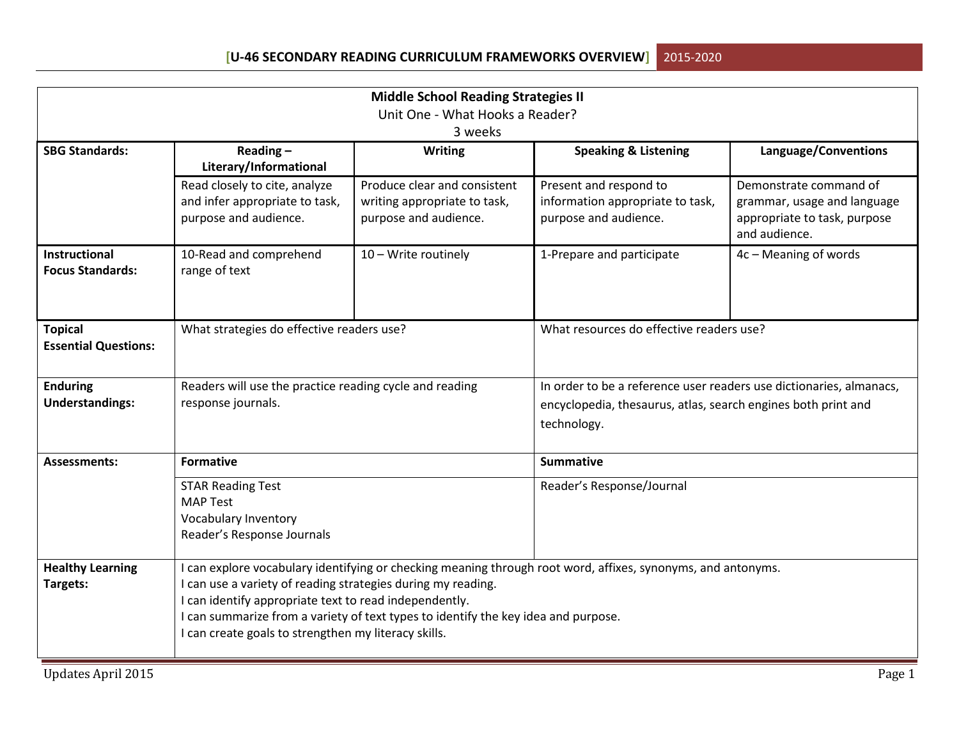| <b>Middle School Reading Strategies II</b> |                                                              |                                                                                    |                                                                                                              |                                               |  |  |
|--------------------------------------------|--------------------------------------------------------------|------------------------------------------------------------------------------------|--------------------------------------------------------------------------------------------------------------|-----------------------------------------------|--|--|
| Unit One - What Hooks a Reader?            |                                                              |                                                                                    |                                                                                                              |                                               |  |  |
|                                            |                                                              | 3 weeks                                                                            |                                                                                                              |                                               |  |  |
| <b>SBG Standards:</b>                      | Reading $-$                                                  | <b>Writing</b>                                                                     | <b>Speaking &amp; Listening</b>                                                                              | Language/Conventions                          |  |  |
|                                            | Literary/Informational                                       |                                                                                    |                                                                                                              |                                               |  |  |
|                                            | Read closely to cite, analyze                                | Produce clear and consistent                                                       | Present and respond to                                                                                       | Demonstrate command of                        |  |  |
|                                            | and infer appropriate to task,                               | writing appropriate to task,                                                       | information appropriate to task,                                                                             | grammar, usage and language                   |  |  |
|                                            | purpose and audience.                                        | purpose and audience.                                                              | purpose and audience.                                                                                        | appropriate to task, purpose<br>and audience. |  |  |
| <b>Instructional</b>                       | 10-Read and comprehend                                       | 10 - Write routinely                                                               | 1-Prepare and participate                                                                                    | 4c - Meaning of words                         |  |  |
| <b>Focus Standards:</b>                    | range of text                                                |                                                                                    |                                                                                                              |                                               |  |  |
|                                            |                                                              |                                                                                    |                                                                                                              |                                               |  |  |
|                                            |                                                              |                                                                                    |                                                                                                              |                                               |  |  |
| <b>Topical</b>                             | What strategies do effective readers use?                    |                                                                                    | What resources do effective readers use?                                                                     |                                               |  |  |
| <b>Essential Questions:</b>                |                                                              |                                                                                    |                                                                                                              |                                               |  |  |
|                                            |                                                              |                                                                                    |                                                                                                              |                                               |  |  |
| <b>Enduring</b>                            | Readers will use the practice reading cycle and reading      |                                                                                    | In order to be a reference user readers use dictionaries, almanacs,                                          |                                               |  |  |
| <b>Understandings:</b>                     | response journals.                                           |                                                                                    | encyclopedia, thesaurus, atlas, search engines both print and                                                |                                               |  |  |
|                                            |                                                              |                                                                                    | technology.                                                                                                  |                                               |  |  |
|                                            |                                                              |                                                                                    |                                                                                                              |                                               |  |  |
| <b>Assessments:</b>                        | <b>Formative</b>                                             |                                                                                    | <b>Summative</b>                                                                                             |                                               |  |  |
|                                            | <b>STAR Reading Test</b>                                     |                                                                                    | Reader's Response/Journal                                                                                    |                                               |  |  |
|                                            | <b>MAP Test</b>                                              |                                                                                    |                                                                                                              |                                               |  |  |
|                                            | Vocabulary Inventory                                         |                                                                                    |                                                                                                              |                                               |  |  |
|                                            | Reader's Response Journals                                   |                                                                                    |                                                                                                              |                                               |  |  |
| <b>Healthy Learning</b>                    |                                                              |                                                                                    | I can explore vocabulary identifying or checking meaning through root word, affixes, synonyms, and antonyms. |                                               |  |  |
| Targets:                                   | I can use a variety of reading strategies during my reading. |                                                                                    |                                                                                                              |                                               |  |  |
|                                            | I can identify appropriate text to read independently.       |                                                                                    |                                                                                                              |                                               |  |  |
|                                            |                                                              | I can summarize from a variety of text types to identify the key idea and purpose. |                                                                                                              |                                               |  |  |
|                                            | I can create goals to strengthen my literacy skills.         |                                                                                    |                                                                                                              |                                               |  |  |
|                                            |                                                              |                                                                                    |                                                                                                              |                                               |  |  |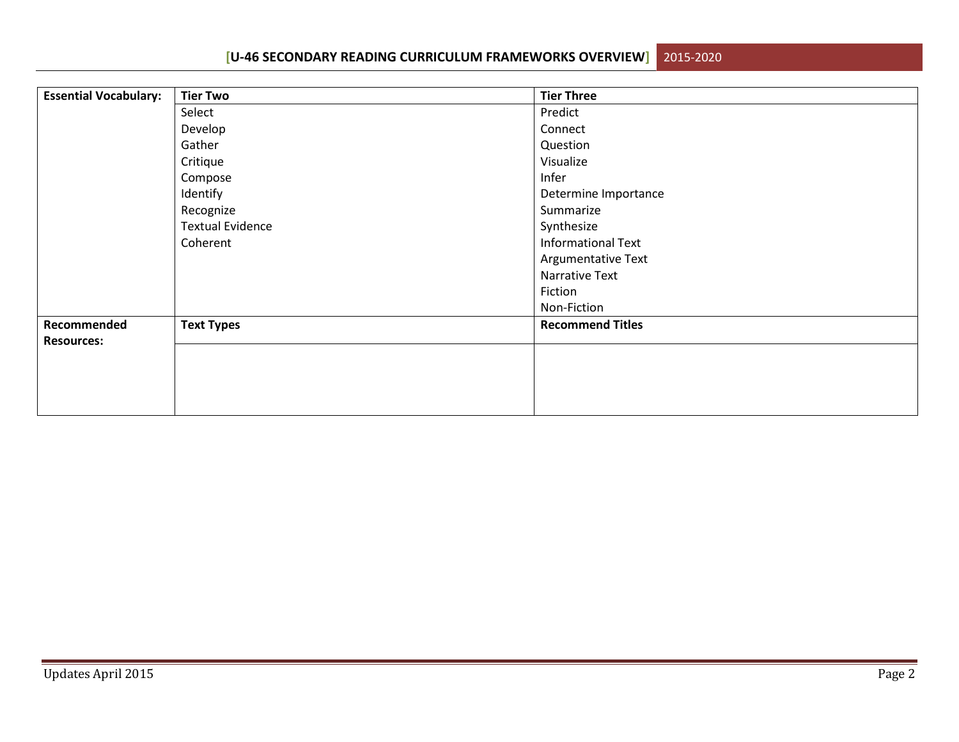**[U-46 SECONDARY READING CURRICULUM FRAMEWORKS OVERVIEW]**2015-2020

| <b>Essential Vocabulary:</b> | <b>Tier Two</b>         | <b>Tier Three</b>         |
|------------------------------|-------------------------|---------------------------|
|                              | Select                  | Predict                   |
|                              | Develop                 | Connect                   |
|                              | Gather                  | Question                  |
|                              | Critique                | Visualize                 |
|                              | Compose                 | Infer                     |
|                              | Identify                | Determine Importance      |
|                              | Recognize               | Summarize                 |
|                              | <b>Textual Evidence</b> | Synthesize                |
|                              | Coherent                | <b>Informational Text</b> |
|                              |                         | Argumentative Text        |
|                              |                         | Narrative Text            |
|                              |                         | Fiction                   |
|                              |                         | Non-Fiction               |
| Recommended                  | <b>Text Types</b>       | <b>Recommend Titles</b>   |
| <b>Resources:</b>            |                         |                           |
|                              |                         |                           |
|                              |                         |                           |
|                              |                         |                           |
|                              |                         |                           |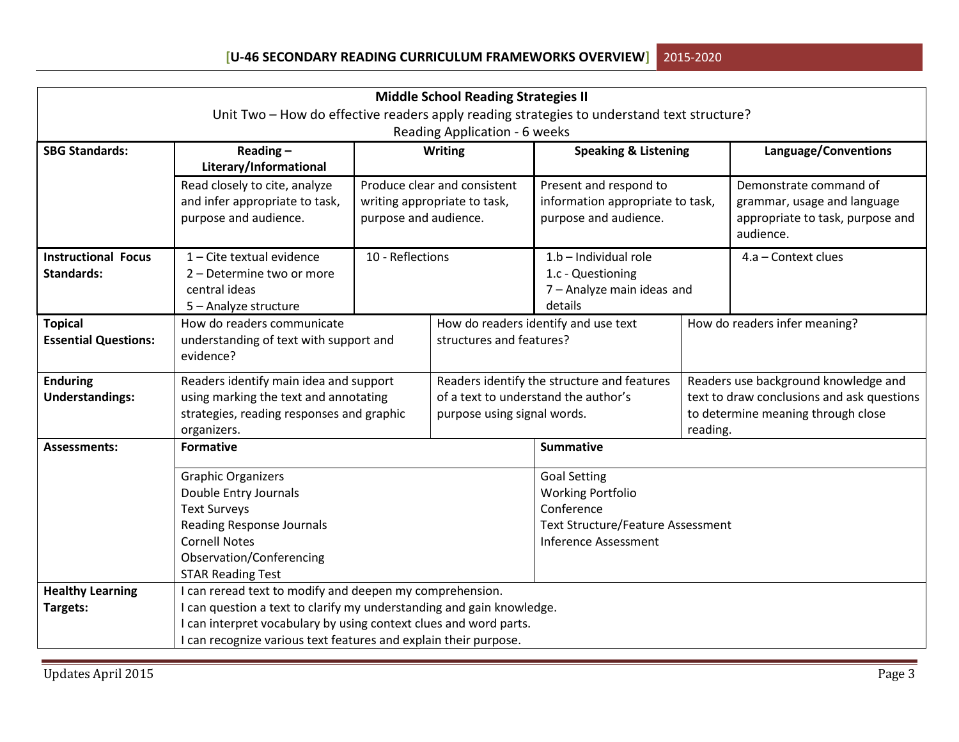| <b>Middle School Reading Strategies II</b>                                                 |                                                                       |                          |                                      |                                                                                     |                                            |                                    |  |
|--------------------------------------------------------------------------------------------|-----------------------------------------------------------------------|--------------------------|--------------------------------------|-------------------------------------------------------------------------------------|--------------------------------------------|------------------------------------|--|
| Unit Two - How do effective readers apply reading strategies to understand text structure? |                                                                       |                          |                                      |                                                                                     |                                            |                                    |  |
|                                                                                            |                                                                       |                          | Reading Application - 6 weeks        |                                                                                     |                                            |                                    |  |
| <b>SBG Standards:</b>                                                                      | Reading $-$                                                           |                          | <b>Writing</b>                       | <b>Speaking &amp; Listening</b>                                                     |                                            | Language/Conventions               |  |
|                                                                                            | Literary/Informational                                                |                          |                                      |                                                                                     |                                            |                                    |  |
|                                                                                            | Read closely to cite, analyze                                         |                          | Produce clear and consistent         | Present and respond to                                                              |                                            | Demonstrate command of             |  |
|                                                                                            | and infer appropriate to task,                                        |                          | writing appropriate to task,         | information appropriate to task,                                                    |                                            | grammar, usage and language        |  |
|                                                                                            | purpose and audience.                                                 | purpose and audience.    |                                      | purpose and audience.                                                               |                                            | appropriate to task, purpose and   |  |
|                                                                                            |                                                                       |                          |                                      |                                                                                     |                                            | audience.                          |  |
| <b>Instructional Focus</b>                                                                 | 1 - Cite textual evidence                                             | 10 - Reflections         |                                      | $1.b$ – Individual role                                                             |                                            | 4.a - Context clues                |  |
| <b>Standards:</b>                                                                          | 2 - Determine two or more                                             |                          |                                      | 1.c - Questioning                                                                   |                                            |                                    |  |
|                                                                                            | central ideas                                                         |                          |                                      | 7 - Analyze main ideas and                                                          |                                            |                                    |  |
|                                                                                            | 5 - Analyze structure                                                 |                          |                                      | details                                                                             |                                            |                                    |  |
| <b>Topical</b>                                                                             | How do readers communicate                                            |                          |                                      | How do readers identify and use text                                                |                                            | How do readers infer meaning?      |  |
| <b>Essential Questions:</b>                                                                | understanding of text with support and                                | structures and features? |                                      |                                                                                     |                                            |                                    |  |
|                                                                                            | evidence?                                                             |                          |                                      |                                                                                     |                                            |                                    |  |
| <b>Enduring</b>                                                                            | Readers identify main idea and support                                |                          |                                      | Readers identify the structure and features<br>Readers use background knowledge and |                                            |                                    |  |
| <b>Understandings:</b>                                                                     | using marking the text and annotating                                 |                          | of a text to understand the author's |                                                                                     | text to draw conclusions and ask questions |                                    |  |
|                                                                                            | strategies, reading responses and graphic                             |                          |                                      | purpose using signal words.                                                         |                                            | to determine meaning through close |  |
|                                                                                            | organizers.                                                           |                          |                                      |                                                                                     | reading.                                   |                                    |  |
| <b>Assessments:</b>                                                                        | <b>Formative</b>                                                      |                          |                                      | <b>Summative</b>                                                                    |                                            |                                    |  |
|                                                                                            | <b>Graphic Organizers</b>                                             |                          |                                      | <b>Goal Setting</b>                                                                 |                                            |                                    |  |
|                                                                                            | Double Entry Journals                                                 |                          |                                      | <b>Working Portfolio</b>                                                            |                                            |                                    |  |
|                                                                                            | <b>Text Surveys</b>                                                   |                          |                                      | Conference                                                                          |                                            |                                    |  |
|                                                                                            | <b>Reading Response Journals</b>                                      |                          |                                      | <b>Text Structure/Feature Assessment</b>                                            |                                            |                                    |  |
|                                                                                            | <b>Cornell Notes</b>                                                  |                          |                                      | <b>Inference Assessment</b>                                                         |                                            |                                    |  |
|                                                                                            | Observation/Conferencing                                              |                          |                                      |                                                                                     |                                            |                                    |  |
|                                                                                            | <b>STAR Reading Test</b>                                              |                          |                                      |                                                                                     |                                            |                                    |  |
| <b>Healthy Learning</b>                                                                    | I can reread text to modify and deepen my comprehension.              |                          |                                      |                                                                                     |                                            |                                    |  |
| Targets:                                                                                   | I can question a text to clarify my understanding and gain knowledge. |                          |                                      |                                                                                     |                                            |                                    |  |
|                                                                                            | I can interpret vocabulary by using context clues and word parts.     |                          |                                      |                                                                                     |                                            |                                    |  |
|                                                                                            | I can recognize various text features and explain their purpose.      |                          |                                      |                                                                                     |                                            |                                    |  |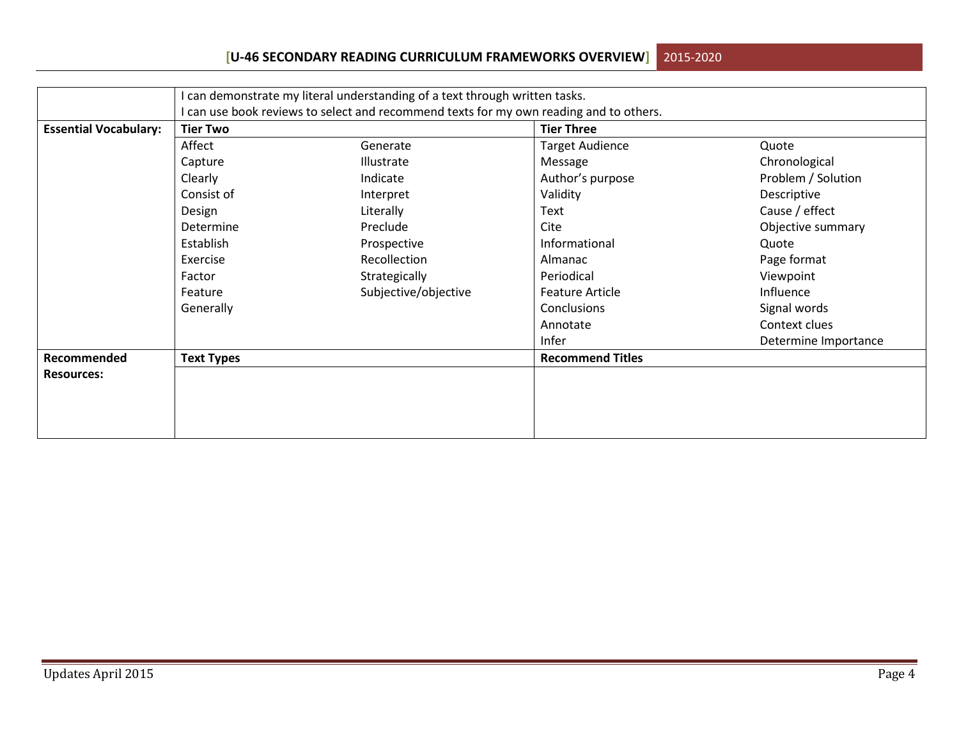## **[U-46 SECONDARY READING CURRICULUM FRAMEWORKS OVERVIEW]**2015-2020

|                              |                                                                                        | I can demonstrate my literal understanding of a text through written tasks. |                         |                      |  |  |  |  |
|------------------------------|----------------------------------------------------------------------------------------|-----------------------------------------------------------------------------|-------------------------|----------------------|--|--|--|--|
|                              | I can use book reviews to select and recommend texts for my own reading and to others. |                                                                             |                         |                      |  |  |  |  |
| <b>Essential Vocabulary:</b> | <b>Tier Two</b>                                                                        |                                                                             | <b>Tier Three</b>       |                      |  |  |  |  |
|                              | Affect                                                                                 | Generate                                                                    | <b>Target Audience</b>  | Quote                |  |  |  |  |
|                              | Capture                                                                                | Illustrate                                                                  | Message                 | Chronological        |  |  |  |  |
|                              | Clearly                                                                                | Indicate                                                                    | Author's purpose        | Problem / Solution   |  |  |  |  |
|                              | Consist of                                                                             | Interpret                                                                   | Validity                | Descriptive          |  |  |  |  |
|                              | Design                                                                                 | Literally                                                                   | Text                    | Cause / effect       |  |  |  |  |
|                              | Determine                                                                              | Preclude                                                                    | Cite                    | Objective summary    |  |  |  |  |
|                              | Establish                                                                              | Prospective                                                                 | Informational           | Quote                |  |  |  |  |
|                              | Exercise                                                                               | Recollection                                                                | Almanac                 | Page format          |  |  |  |  |
|                              | Factor                                                                                 | Strategically                                                               | Periodical              | Viewpoint            |  |  |  |  |
|                              | Feature                                                                                | Subjective/objective                                                        | <b>Feature Article</b>  | Influence            |  |  |  |  |
|                              | Generally                                                                              |                                                                             | Conclusions             | Signal words         |  |  |  |  |
|                              |                                                                                        |                                                                             | Annotate                | Context clues        |  |  |  |  |
|                              |                                                                                        |                                                                             | Infer                   | Determine Importance |  |  |  |  |
| Recommended                  | <b>Text Types</b>                                                                      |                                                                             | <b>Recommend Titles</b> |                      |  |  |  |  |
| <b>Resources:</b>            |                                                                                        |                                                                             |                         |                      |  |  |  |  |
|                              |                                                                                        |                                                                             |                         |                      |  |  |  |  |
|                              |                                                                                        |                                                                             |                         |                      |  |  |  |  |
|                              |                                                                                        |                                                                             |                         |                      |  |  |  |  |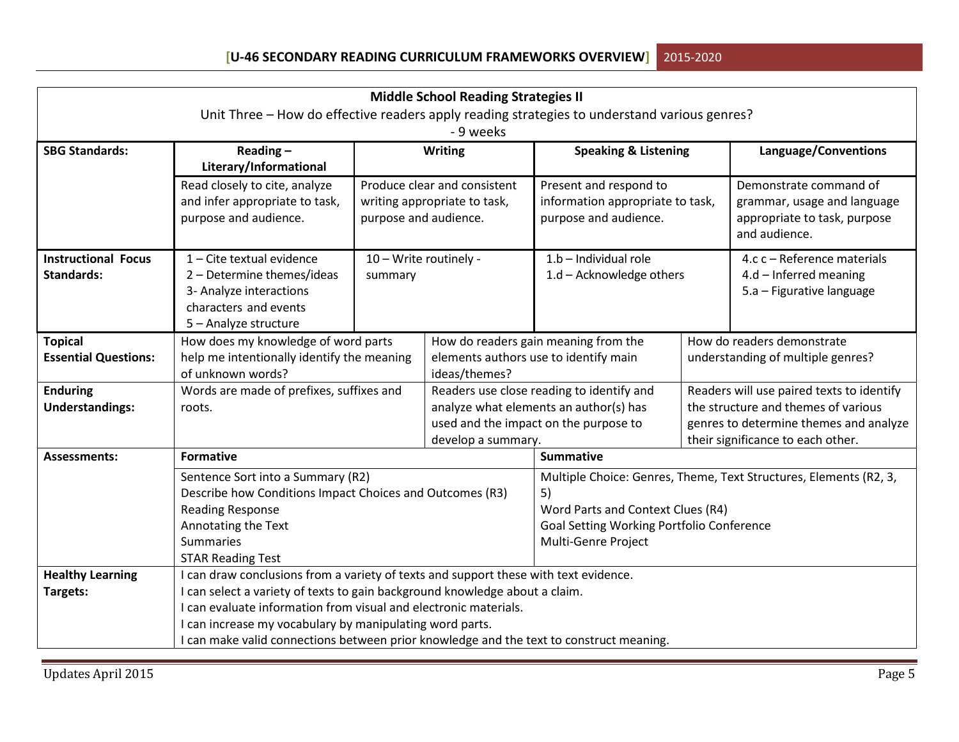| <b>Middle School Reading Strategies II</b>                                                   |                                                                                         |                        |                              |                                                                                     |  |                                                                                  |
|----------------------------------------------------------------------------------------------|-----------------------------------------------------------------------------------------|------------------------|------------------------------|-------------------------------------------------------------------------------------|--|----------------------------------------------------------------------------------|
| Unit Three - How do effective readers apply reading strategies to understand various genres? |                                                                                         |                        |                              |                                                                                     |  |                                                                                  |
|                                                                                              |                                                                                         |                        | - 9 weeks                    |                                                                                     |  |                                                                                  |
| <b>SBG Standards:</b>                                                                        | Reading $-$                                                                             |                        | <b>Writing</b>               | <b>Speaking &amp; Listening</b>                                                     |  | Language/Conventions                                                             |
|                                                                                              | Literary/Informational                                                                  |                        |                              |                                                                                     |  |                                                                                  |
|                                                                                              | Read closely to cite, analyze                                                           |                        | Produce clear and consistent | Present and respond to                                                              |  | Demonstrate command of                                                           |
|                                                                                              | and infer appropriate to task,                                                          |                        | writing appropriate to task, | information appropriate to task,                                                    |  | grammar, usage and language                                                      |
|                                                                                              | purpose and audience.                                                                   | purpose and audience.  |                              | purpose and audience.                                                               |  | appropriate to task, purpose                                                     |
|                                                                                              |                                                                                         |                        |                              |                                                                                     |  | and audience.                                                                    |
| <b>Instructional Focus</b>                                                                   | 1 - Cite textual evidence                                                               | 10 - Write routinely - |                              | 1.b - Individual role                                                               |  | 4.c c - Reference materials                                                      |
| <b>Standards:</b>                                                                            | 2 - Determine themes/ideas                                                              | summary                |                              | 1.d - Acknowledge others                                                            |  | $4.d$ – Inferred meaning                                                         |
|                                                                                              | 3- Analyze interactions                                                                 |                        |                              |                                                                                     |  | 5.a - Figurative language                                                        |
|                                                                                              | characters and events                                                                   |                        |                              |                                                                                     |  |                                                                                  |
|                                                                                              | 5 - Analyze structure                                                                   |                        |                              |                                                                                     |  |                                                                                  |
| <b>Topical</b>                                                                               | How does my knowledge of word parts                                                     |                        |                              | How do readers gain meaning from the                                                |  | How do readers demonstrate                                                       |
| <b>Essential Questions:</b>                                                                  | help me intentionally identify the meaning                                              |                        |                              | elements authors use to identify main                                               |  | understanding of multiple genres?                                                |
|                                                                                              | of unknown words?                                                                       |                        | ideas/themes?                |                                                                                     |  |                                                                                  |
| <b>Enduring</b>                                                                              | Words are made of prefixes, suffixes and                                                |                        |                              | Readers use close reading to identify and<br>analyze what elements an author(s) has |  | Readers will use paired texts to identify<br>the structure and themes of various |
| <b>Understandings:</b>                                                                       | roots.                                                                                  |                        |                              | used and the impact on the purpose to                                               |  | genres to determine themes and analyze                                           |
|                                                                                              |                                                                                         |                        | develop a summary.           |                                                                                     |  | their significance to each other.                                                |
| <b>Assessments:</b>                                                                          | <b>Formative</b>                                                                        |                        |                              | <b>Summative</b>                                                                    |  |                                                                                  |
|                                                                                              | Sentence Sort into a Summary (R2)                                                       |                        |                              |                                                                                     |  |                                                                                  |
|                                                                                              | Describe how Conditions Impact Choices and Outcomes (R3)                                |                        |                              | Multiple Choice: Genres, Theme, Text Structures, Elements (R2, 3,<br>5)             |  |                                                                                  |
|                                                                                              | <b>Reading Response</b>                                                                 |                        |                              | Word Parts and Context Clues (R4)                                                   |  |                                                                                  |
|                                                                                              | Annotating the Text                                                                     |                        |                              | Goal Setting Working Portfolio Conference                                           |  |                                                                                  |
|                                                                                              | <b>Summaries</b>                                                                        |                        |                              | Multi-Genre Project                                                                 |  |                                                                                  |
|                                                                                              | <b>STAR Reading Test</b>                                                                |                        |                              |                                                                                     |  |                                                                                  |
| <b>Healthy Learning</b>                                                                      | I can draw conclusions from a variety of texts and support these with text evidence.    |                        |                              |                                                                                     |  |                                                                                  |
| Targets:                                                                                     | I can select a variety of texts to gain background knowledge about a claim.             |                        |                              |                                                                                     |  |                                                                                  |
|                                                                                              | I can evaluate information from visual and electronic materials.                        |                        |                              |                                                                                     |  |                                                                                  |
|                                                                                              | I can increase my vocabulary by manipulating word parts.                                |                        |                              |                                                                                     |  |                                                                                  |
|                                                                                              | I can make valid connections between prior knowledge and the text to construct meaning. |                        |                              |                                                                                     |  |                                                                                  |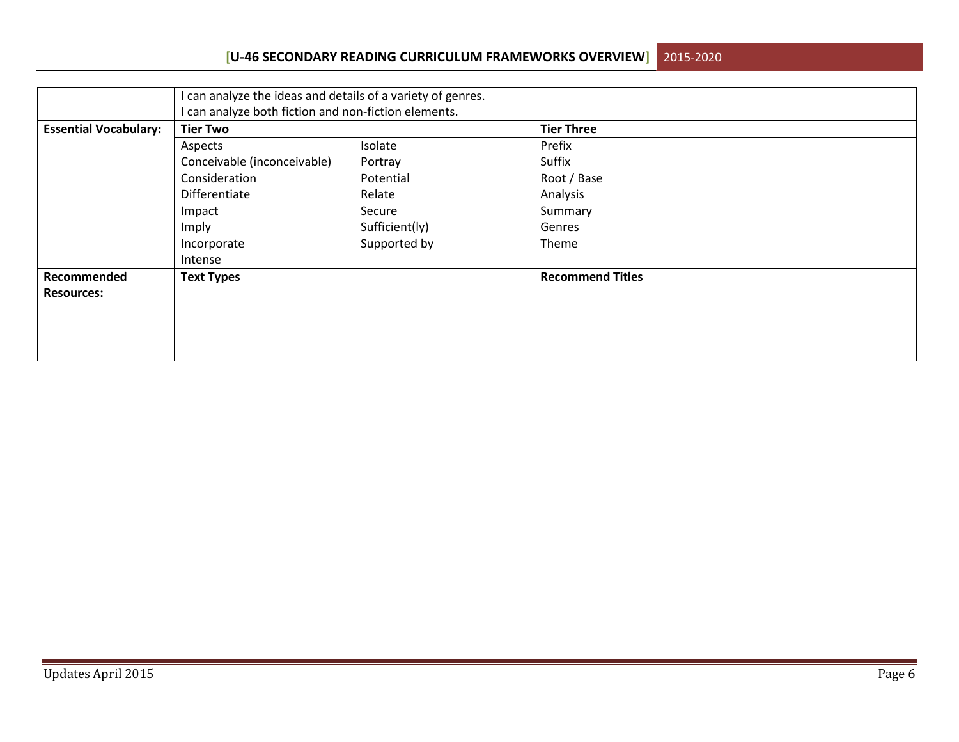## **[U-46 SECONDARY READING CURRICULUM FRAMEWORKS OVERVIEW]**2015-2020

|                              | I can analyze the ideas and details of a variety of genres.<br>I can analyze both fiction and non-fiction elements. |                |                         |  |  |
|------------------------------|---------------------------------------------------------------------------------------------------------------------|----------------|-------------------------|--|--|
| <b>Essential Vocabulary:</b> | <b>Tier Two</b>                                                                                                     |                | <b>Tier Three</b>       |  |  |
|                              | Aspects                                                                                                             | Isolate        | Prefix                  |  |  |
|                              | Conceivable (inconceivable)                                                                                         | Portray        | Suffix                  |  |  |
|                              | Consideration                                                                                                       | Potential      | Root / Base             |  |  |
|                              | Differentiate                                                                                                       | Relate         | Analysis                |  |  |
|                              | Impact                                                                                                              | Secure         | Summary                 |  |  |
|                              | Imply                                                                                                               | Sufficient(ly) | Genres                  |  |  |
|                              | Incorporate                                                                                                         | Supported by   | Theme                   |  |  |
|                              | Intense                                                                                                             |                |                         |  |  |
| Recommended                  | <b>Text Types</b>                                                                                                   |                | <b>Recommend Titles</b> |  |  |
| <b>Resources:</b>            |                                                                                                                     |                |                         |  |  |
|                              |                                                                                                                     |                |                         |  |  |
|                              |                                                                                                                     |                |                         |  |  |
|                              |                                                                                                                     |                |                         |  |  |
|                              |                                                                                                                     |                |                         |  |  |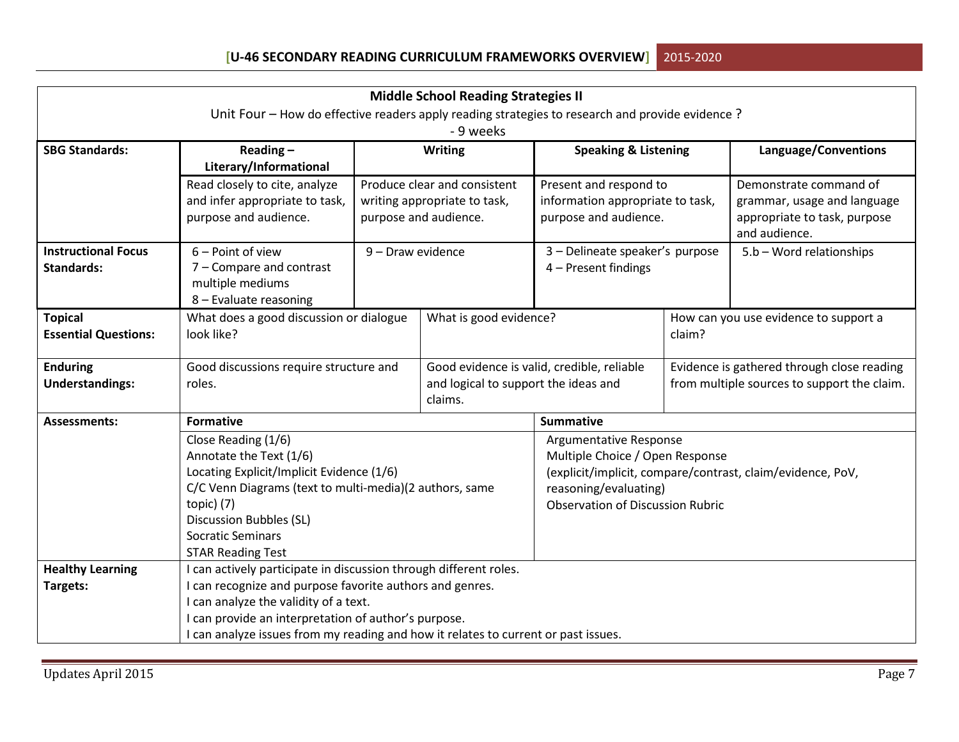| <b>Middle School Reading Strategies II</b>                                                      |                                                                                               |                   |                              |                                                                                          |  |                                                            |  |
|-------------------------------------------------------------------------------------------------|-----------------------------------------------------------------------------------------------|-------------------|------------------------------|------------------------------------------------------------------------------------------|--|------------------------------------------------------------|--|
| Unit Four – How do effective readers apply reading strategies to research and provide evidence? |                                                                                               |                   |                              |                                                                                          |  |                                                            |  |
|                                                                                                 |                                                                                               |                   | - 9 weeks                    |                                                                                          |  |                                                            |  |
| <b>SBG Standards:</b>                                                                           | Reading $-$                                                                                   |                   | <b>Writing</b>               | <b>Speaking &amp; Listening</b>                                                          |  | Language/Conventions                                       |  |
|                                                                                                 | Literary/Informational                                                                        |                   |                              |                                                                                          |  |                                                            |  |
|                                                                                                 | Read closely to cite, analyze                                                                 |                   | Produce clear and consistent | Present and respond to                                                                   |  | Demonstrate command of                                     |  |
|                                                                                                 | and infer appropriate to task,                                                                |                   | writing appropriate to task, | information appropriate to task,                                                         |  | grammar, usage and language                                |  |
|                                                                                                 | purpose and audience.                                                                         |                   | purpose and audience.        | purpose and audience.                                                                    |  | appropriate to task, purpose                               |  |
|                                                                                                 |                                                                                               |                   |                              |                                                                                          |  | and audience.                                              |  |
| <b>Instructional Focus</b>                                                                      | $6 -$ Point of view                                                                           | 9 - Draw evidence |                              | 3 - Delineate speaker's purpose                                                          |  | 5.b - Word relationships                                   |  |
| <b>Standards:</b>                                                                               | 7 - Compare and contrast                                                                      |                   |                              | 4 - Present findings                                                                     |  |                                                            |  |
|                                                                                                 | multiple mediums                                                                              |                   |                              |                                                                                          |  |                                                            |  |
|                                                                                                 | 8 - Evaluate reasoning                                                                        |                   |                              |                                                                                          |  |                                                            |  |
| <b>Topical</b>                                                                                  | What does a good discussion or dialogue                                                       |                   |                              | What is good evidence?                                                                   |  | How can you use evidence to support a                      |  |
| <b>Essential Questions:</b>                                                                     |                                                                                               | look like?        |                              | claim?                                                                                   |  |                                                            |  |
| <b>Enduring</b>                                                                                 | Good discussions require structure and                                                        |                   |                              | Good evidence is valid, credible, reliable<br>Evidence is gathered through close reading |  |                                                            |  |
| <b>Understandings:</b>                                                                          | roles.                                                                                        |                   |                              | and logical to support the ideas and<br>from multiple sources to support the claim.      |  |                                                            |  |
|                                                                                                 |                                                                                               |                   | claims.                      |                                                                                          |  |                                                            |  |
| <b>Assessments:</b>                                                                             | <b>Formative</b>                                                                              |                   |                              | <b>Summative</b>                                                                         |  |                                                            |  |
|                                                                                                 | Close Reading (1/6)                                                                           |                   |                              | Argumentative Response                                                                   |  |                                                            |  |
|                                                                                                 | Annotate the Text (1/6)                                                                       |                   |                              | Multiple Choice / Open Response                                                          |  |                                                            |  |
|                                                                                                 | Locating Explicit/Implicit Evidence (1/6)                                                     |                   |                              |                                                                                          |  | (explicit/implicit, compare/contrast, claim/evidence, PoV, |  |
|                                                                                                 | C/C Venn Diagrams (text to multi-media)(2 authors, same                                       |                   |                              | reasoning/evaluating)                                                                    |  |                                                            |  |
|                                                                                                 | topic) (7)                                                                                    |                   |                              | <b>Observation of Discussion Rubric</b>                                                  |  |                                                            |  |
|                                                                                                 | <b>Discussion Bubbles (SL)</b>                                                                |                   |                              |                                                                                          |  |                                                            |  |
|                                                                                                 | <b>Socratic Seminars</b>                                                                      |                   |                              |                                                                                          |  |                                                            |  |
|                                                                                                 | <b>STAR Reading Test</b>                                                                      |                   |                              |                                                                                          |  |                                                            |  |
| <b>Healthy Learning</b>                                                                         | I can actively participate in discussion through different roles.                             |                   |                              |                                                                                          |  |                                                            |  |
| Targets:                                                                                        | I can recognize and purpose favorite authors and genres.                                      |                   |                              |                                                                                          |  |                                                            |  |
|                                                                                                 | I can analyze the validity of a text.<br>I can provide an interpretation of author's purpose. |                   |                              |                                                                                          |  |                                                            |  |
|                                                                                                 |                                                                                               |                   |                              |                                                                                          |  |                                                            |  |
|                                                                                                 | I can analyze issues from my reading and how it relates to current or past issues.            |                   |                              |                                                                                          |  |                                                            |  |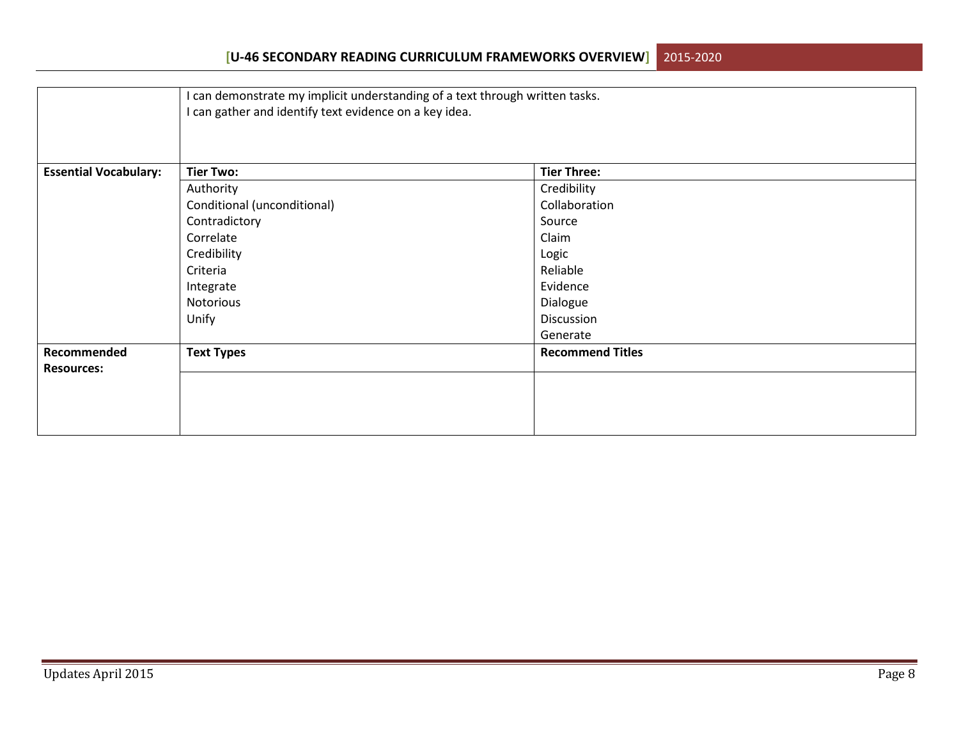|                              | I can demonstrate my implicit understanding of a text through written tasks.<br>I can gather and identify text evidence on a key idea. |                         |  |  |  |
|------------------------------|----------------------------------------------------------------------------------------------------------------------------------------|-------------------------|--|--|--|
| <b>Essential Vocabulary:</b> | <b>Tier Two:</b>                                                                                                                       | <b>Tier Three:</b>      |  |  |  |
|                              | Authority                                                                                                                              | Credibility             |  |  |  |
|                              | Conditional (unconditional)                                                                                                            | Collaboration           |  |  |  |
|                              | Contradictory                                                                                                                          | Source                  |  |  |  |
|                              | Correlate                                                                                                                              | Claim                   |  |  |  |
|                              | Credibility                                                                                                                            | Logic                   |  |  |  |
|                              | Criteria                                                                                                                               | Reliable                |  |  |  |
|                              | Integrate                                                                                                                              | Evidence                |  |  |  |
|                              | Notorious                                                                                                                              | Dialogue                |  |  |  |
|                              | Unify                                                                                                                                  | Discussion              |  |  |  |
|                              |                                                                                                                                        | Generate                |  |  |  |
| Recommended                  | <b>Text Types</b>                                                                                                                      | <b>Recommend Titles</b> |  |  |  |
| <b>Resources:</b>            |                                                                                                                                        |                         |  |  |  |
|                              |                                                                                                                                        |                         |  |  |  |
|                              |                                                                                                                                        |                         |  |  |  |
|                              |                                                                                                                                        |                         |  |  |  |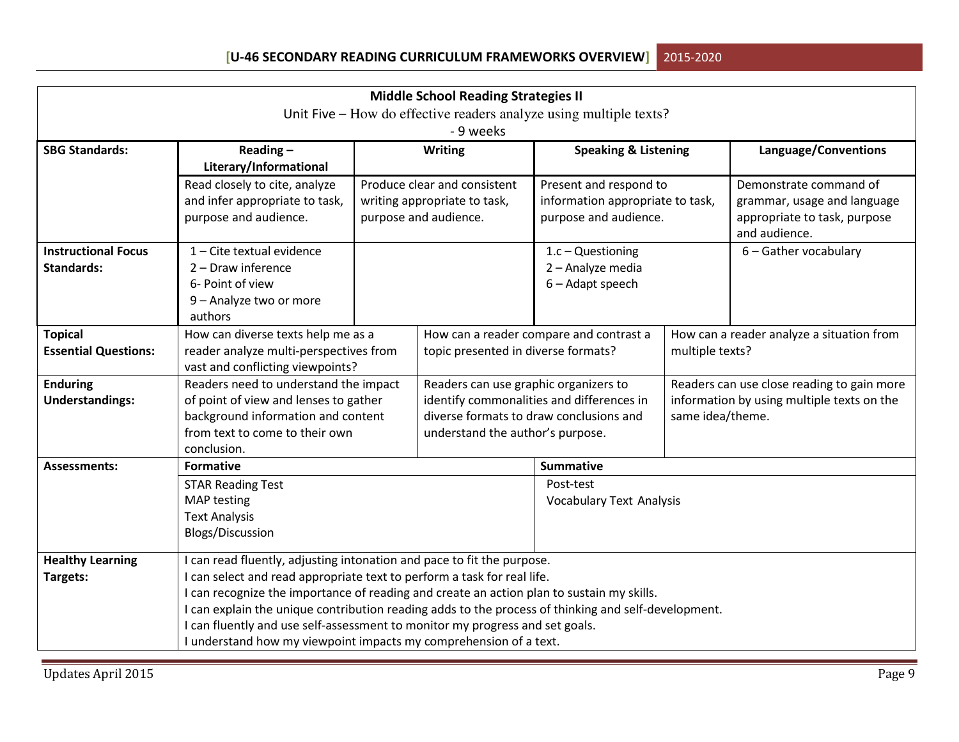| <b>Middle School Reading Strategies II</b>                         |                                                                                                   |                                  |                                       |                                                                                      |                  |                                               |
|--------------------------------------------------------------------|---------------------------------------------------------------------------------------------------|----------------------------------|---------------------------------------|--------------------------------------------------------------------------------------|------------------|-----------------------------------------------|
| Unit Five – How do effective readers analyze using multiple texts? |                                                                                                   |                                  |                                       |                                                                                      |                  |                                               |
| - 9 weeks                                                          |                                                                                                   |                                  |                                       |                                                                                      |                  |                                               |
| <b>SBG Standards:</b>                                              | Reading $-$                                                                                       |                                  | <b>Writing</b>                        | <b>Speaking &amp; Listening</b>                                                      |                  | Language/Conventions                          |
|                                                                    | Literary/Informational                                                                            |                                  |                                       |                                                                                      |                  |                                               |
|                                                                    | Read closely to cite, analyze                                                                     |                                  | Produce clear and consistent          | Present and respond to                                                               |                  | Demonstrate command of                        |
|                                                                    | and infer appropriate to task,                                                                    |                                  | writing appropriate to task,          | information appropriate to task,                                                     |                  | grammar, usage and language                   |
|                                                                    | purpose and audience.                                                                             |                                  | purpose and audience.                 | purpose and audience.                                                                |                  | appropriate to task, purpose<br>and audience. |
| <b>Instructional Focus</b>                                         | 1 - Cite textual evidence                                                                         |                                  |                                       | $1.c - Questioning$                                                                  |                  | 6 - Gather vocabulary                         |
| <b>Standards:</b>                                                  | $2 - Draw inference$                                                                              |                                  |                                       | 2 - Analyze media                                                                    |                  |                                               |
|                                                                    | 6- Point of view                                                                                  |                                  |                                       | 6 - Adapt speech                                                                     |                  |                                               |
|                                                                    | 9 - Analyze two or more                                                                           |                                  |                                       |                                                                                      |                  |                                               |
|                                                                    | authors                                                                                           |                                  |                                       |                                                                                      |                  |                                               |
| <b>Topical</b>                                                     | How can diverse texts help me as a                                                                |                                  |                                       | How can a reader compare and contrast a                                              |                  | How can a reader analyze a situation from     |
| <b>Essential Questions:</b>                                        | reader analyze multi-perspectives from                                                            |                                  | topic presented in diverse formats?   |                                                                                      | multiple texts?  |                                               |
|                                                                    | vast and conflicting viewpoints?                                                                  |                                  |                                       |                                                                                      |                  |                                               |
| <b>Enduring</b>                                                    | Readers need to understand the impact                                                             |                                  | Readers can use graphic organizers to |                                                                                      |                  | Readers can use close reading to gain more    |
| <b>Understandings:</b>                                             | of point of view and lenses to gather                                                             |                                  |                                       | identify commonalities and differences in<br>diverse formats to draw conclusions and |                  | information by using multiple texts on the    |
|                                                                    | background information and content<br>from text to come to their own                              |                                  |                                       |                                                                                      | same idea/theme. |                                               |
|                                                                    | conclusion.                                                                                       | understand the author's purpose. |                                       |                                                                                      |                  |                                               |
| <b>Assessments:</b>                                                | <b>Formative</b>                                                                                  |                                  |                                       | <b>Summative</b>                                                                     |                  |                                               |
|                                                                    | <b>STAR Reading Test</b>                                                                          |                                  |                                       | Post-test                                                                            |                  |                                               |
|                                                                    | MAP testing                                                                                       |                                  |                                       | Vocabulary Text Analysis                                                             |                  |                                               |
|                                                                    | <b>Text Analysis</b>                                                                              |                                  |                                       |                                                                                      |                  |                                               |
|                                                                    | <b>Blogs/Discussion</b>                                                                           |                                  |                                       |                                                                                      |                  |                                               |
| <b>Healthy Learning</b>                                            | can read fluently, adjusting intonation and pace to fit the purpose.                              |                                  |                                       |                                                                                      |                  |                                               |
| Targets:                                                           | can select and read appropriate text to perform a task for real life.                             |                                  |                                       |                                                                                      |                  |                                               |
|                                                                    | can recognize the importance of reading and create an action plan to sustain my skills.           |                                  |                                       |                                                                                      |                  |                                               |
|                                                                    | can explain the unique contribution reading adds to the process of thinking and self-development. |                                  |                                       |                                                                                      |                  |                                               |
|                                                                    | I can fluently and use self-assessment to monitor my progress and set goals.                      |                                  |                                       |                                                                                      |                  |                                               |
|                                                                    | I understand how my viewpoint impacts my comprehension of a text.                                 |                                  |                                       |                                                                                      |                  |                                               |